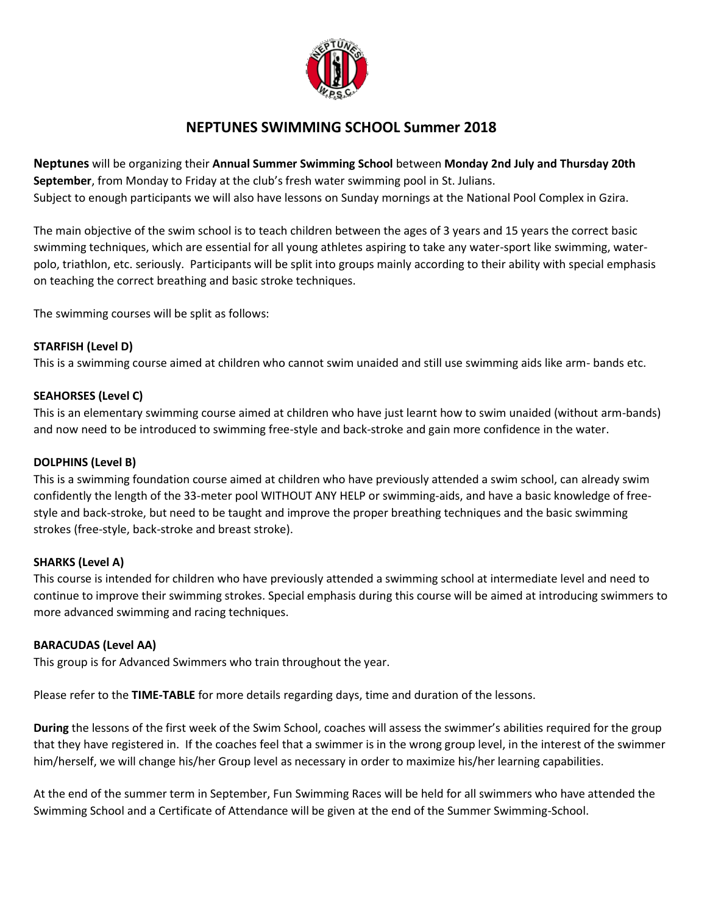

# **NEPTUNES SWIMMING SCHOOL Summer 2018**

**Neptunes** will be organizing their **Annual Summer Swimming School** between **Monday 2nd July and Thursday 20th September**, from Monday to Friday at the club's fresh water swimming pool in St. Julians. Subject to enough participants we will also have lessons on Sunday mornings at the National Pool Complex in Gzira.

The main objective of the swim school is to teach children between the ages of 3 years and 15 years the correct basic swimming techniques, which are essential for all young athletes aspiring to take any water-sport like swimming, waterpolo, triathlon, etc. seriously. Participants will be split into groups mainly according to their ability with special emphasis on teaching the correct breathing and basic stroke techniques.

The swimming courses will be split as follows:

# **STARFISH (Level D)**

This is a swimming course aimed at children who cannot swim unaided and still use swimming aids like arm- bands etc.

# **SEAHORSES (Level C)**

This is an elementary swimming course aimed at children who have just learnt how to swim unaided (without arm-bands) and now need to be introduced to swimming free-style and back-stroke and gain more confidence in the water.

# **DOLPHINS (Level B)**

This is a swimming foundation course aimed at children who have previously attended a swim school, can already swim confidently the length of the 33-meter pool WITHOUT ANY HELP or swimming-aids, and have a basic knowledge of freestyle and back-stroke, but need to be taught and improve the proper breathing techniques and the basic swimming strokes (free-style, back-stroke and breast stroke).

# **SHARKS (Level A)**

This course is intended for children who have previously attended a swimming school at intermediate level and need to continue to improve their swimming strokes. Special emphasis during this course will be aimed at introducing swimmers to more advanced swimming and racing techniques.

# **BARACUDAS (Level AA)**

This group is for Advanced Swimmers who train throughout the year.

Please refer to the **TIME-TABLE** for more details regarding days, time and duration of the lessons.

**During** the lessons of the first week of the Swim School, coaches will assess the swimmer's abilities required for the group that they have registered in. If the coaches feel that a swimmer is in the wrong group level, in the interest of the swimmer him/herself, we will change his/her Group level as necessary in order to maximize his/her learning capabilities.

At the end of the summer term in September, Fun Swimming Races will be held for all swimmers who have attended the Swimming School and a Certificate of Attendance will be given at the end of the Summer Swimming-School.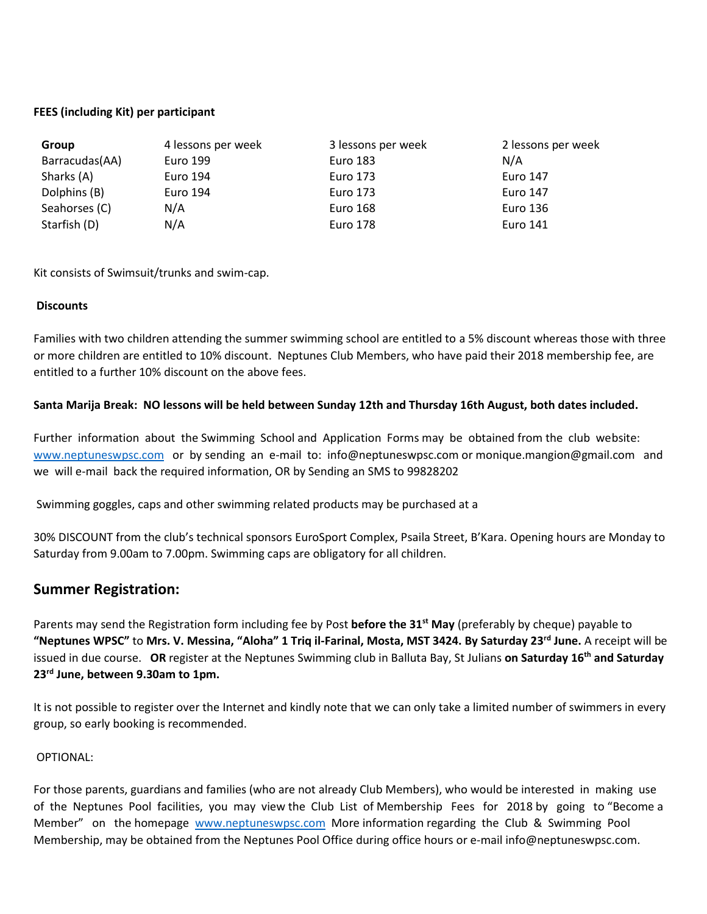# **FEES (including Kit) per participant**

| Group          | 4 lessons per week | 3 lessons per week | 2 lessons per week |
|----------------|--------------------|--------------------|--------------------|
| Barracudas(AA) | Euro 199           | Euro 183           | N/A                |
| Sharks (A)     | Euro 194           | Euro 173           | Euro 147           |
| Dolphins (B)   | Euro 194           | Euro 173           | Euro 147           |
| Seahorses (C)  | N/A                | Euro 168           | Euro 136           |
| Starfish (D)   | N/A                | Euro 178           | Euro 141           |

Kit consists of Swimsuit/trunks and swim-cap.

# **Discounts**

Families with two children attending the summer swimming school are entitled to a 5% discount whereas those with three or more children are entitled to 10% discount. Neptunes Club Members, who have paid their 2018 membership fee, are entitled to a further 10% discount on the above fees.

# **Santa Marija Break: NO lessons will be held between Sunday 12th and Thursday 16th August, both dates included.**

Further information about the Swimming School and Application Forms may be obtained from the club website: [www.neptuneswpsc.com](http://www.neptuneswpsc.com/) or by sending an e-mail to: info@neptuneswpsc.com or monique.mangion@gmail.com and we will e-mail back the required information, OR by Sending an SMS to 99828202

Swimming goggles, caps and other swimming related products may be purchased at a

30% DISCOUNT from the club's technical sponsors EuroSport Complex, Psaila Street, B'Kara. Opening hours are Monday to Saturday from 9.00am to 7.00pm. Swimming caps are obligatory for all children.

# **Summer Registration:**

Parents may send the Registration form including fee by Post **before the 31st May** (preferably by cheque) payable to **"Neptunes WPSC"** to **Mrs. V. Messina, "Aloha" 1 Triq il-Farinal, Mosta, MST 3424. By Saturday 23rd June.** A receipt will be issued in due course. **OR** register at the Neptunes Swimming club in Balluta Bay, St Julians **on Saturday 16th and Saturday 23rd June, between 9.30am to 1pm.**

It is not possible to register over the Internet and kindly note that we can only take a limited number of swimmers in every group, so early booking is recommended.

# OPTIONAL:

For those parents, guardians and families (who are not already Club Members), who would be interested in making use of the Neptunes Pool facilities, you may view the Club List of Membership Fees for 2018 by going to "Become a Member" on the homepage [www.neptuneswpsc.com](http://www.neptuneswpsc.com/) More information regarding the Club & Swimming Pool Membership, may be obtained from the Neptunes Pool Office during office hours or e-mail info@neptuneswpsc.com.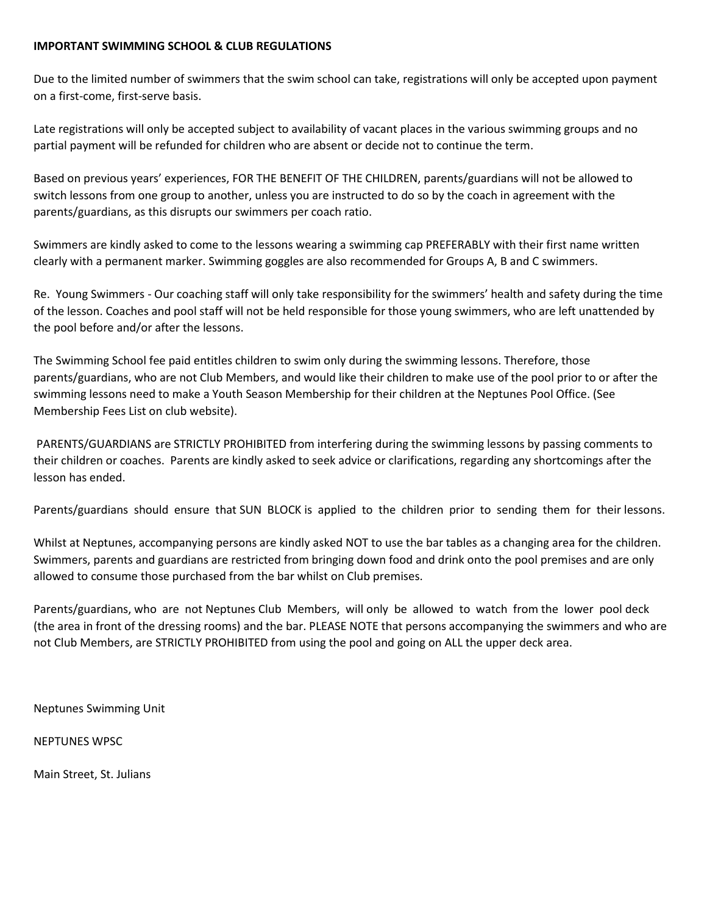## **IMPORTANT SWIMMING SCHOOL & CLUB REGULATIONS**

Due to the limited number of swimmers that the swim school can take, registrations will only be accepted upon payment on a first-come, first-serve basis.

Late registrations will only be accepted subject to availability of vacant places in the various swimming groups and no partial payment will be refunded for children who are absent or decide not to continue the term.

Based on previous years' experiences, FOR THE BENEFIT OF THE CHILDREN, parents/guardians will not be allowed to switch lessons from one group to another, unless you are instructed to do so by the coach in agreement with the parents/guardians, as this disrupts our swimmers per coach ratio.

Swimmers are kindly asked to come to the lessons wearing a swimming cap PREFERABLY with their first name written clearly with a permanent marker. Swimming goggles are also recommended for Groups A, B and C swimmers.

Re. Young Swimmers - Our coaching staff will only take responsibility for the swimmers' health and safety during the time of the lesson. Coaches and pool staff will not be held responsible for those young swimmers, who are left unattended by the pool before and/or after the lessons.

The Swimming School fee paid entitles children to swim only during the swimming lessons. Therefore, those parents/guardians, who are not Club Members, and would like their children to make use of the pool prior to or after the swimming lessons need to make a Youth Season Membership for their children at the Neptunes Pool Office. (See Membership Fees List on club website).

PARENTS/GUARDIANS are STRICTLY PROHIBITED from interfering during the swimming lessons by passing comments to their children or coaches. Parents are kindly asked to seek advice or clarifications, regarding any shortcomings after the lesson has ended.

Parents/guardians should ensure that SUN BLOCK is applied to the children prior to sending them for their lessons.

Whilst at Neptunes, accompanying persons are kindly asked NOT to use the bar tables as a changing area for the children. Swimmers, parents and guardians are restricted from bringing down food and drink onto the pool premises and are only allowed to consume those purchased from the bar whilst on Club premises.

Parents/guardians, who are not Neptunes Club Members, will only be allowed to watch from the lower pool deck (the area in front of the dressing rooms) and the bar. PLEASE NOTE that persons accompanying the swimmers and who are not Club Members, are STRICTLY PROHIBITED from using the pool and going on ALL the upper deck area.

Neptunes Swimming Unit

NEPTUNES WPSC

Main Street, St. Julians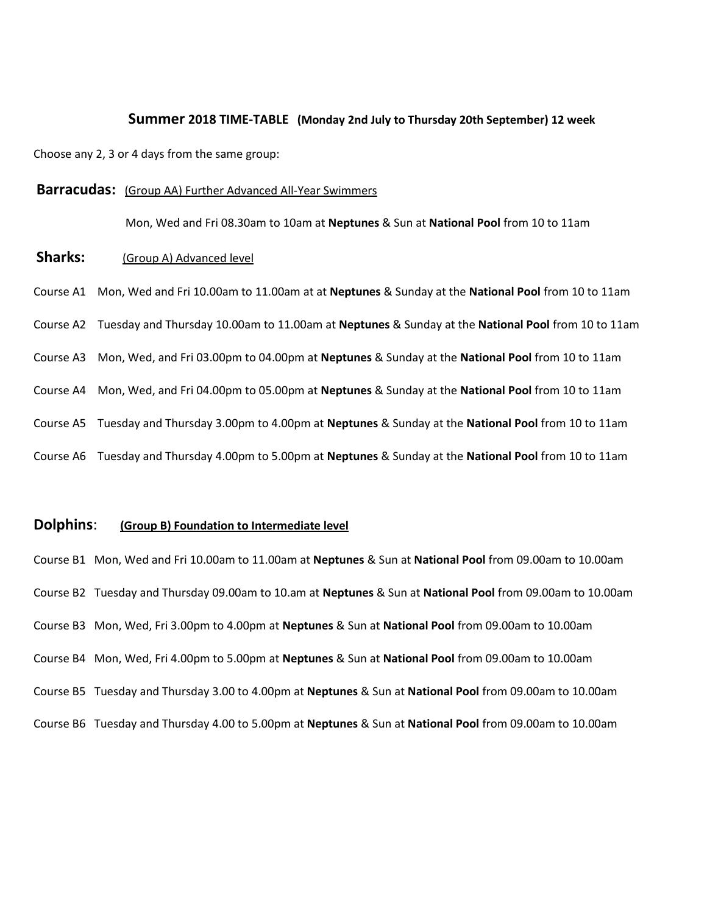#### **Summer 2018 TIME-TABLE (Monday 2nd July to Thursday 20th September) 12 week**

Choose any 2, 3 or 4 days from the same group:

## **Barracudas:** (Group AA) Further Advanced All-Year Swimmers

Mon, Wed and Fri 08.30am to 10am at **Neptunes** & Sun at **National Pool** from 10 to 11am

# **Sharks:** (Group A) Advanced level

Course A1 Mon, Wed and Fri 10.00am to 11.00am at at **Neptunes** & Sunday at the **National Pool** from 10 to 11am

Course A2 Tuesday and Thursday 10.00am to 11.00am at **Neptunes** & Sunday at the **National Pool** from 10 to 11am

Course A3 Mon, Wed, and Fri 03.00pm to 04.00pm at **Neptunes** & Sunday at the **National Pool** from 10 to 11am

Course A4 Mon, Wed, and Fri 04.00pm to 05.00pm at **Neptunes** & Sunday at the **National Pool** from 10 to 11am

Course A5 Tuesday and Thursday 3.00pm to 4.00pm at **Neptunes** & Sunday at the **National Pool** from 10 to 11am

Course A6 Tuesday and Thursday 4.00pm to 5.00pm at **Neptunes** & Sunday at the **National Pool** from 10 to 11am

# **Dolphins**: **(Group B) Foundation to Intermediate level**

Course B1 Mon, Wed and Fri 10.00am to 11.00am at **Neptunes** & Sun at **National Pool** from 09.00am to 10.00am Course B2 Tuesday and Thursday 09.00am to 10.am at **Neptunes** & Sun at **National Pool** from 09.00am to 10.00am Course B3 Mon, Wed, Fri 3.00pm to 4.00pm at **Neptunes** & Sun at **National Pool** from 09.00am to 10.00am Course B4 Mon, Wed, Fri 4.00pm to 5.00pm at **Neptunes** & Sun at **National Pool** from 09.00am to 10.00am Course B5 Tuesday and Thursday 3.00 to 4.00pm at **Neptunes** & Sun at **National Pool** from 09.00am to 10.00am Course B6 Tuesday and Thursday 4.00 to 5.00pm at **Neptunes** & Sun at **National Pool** from 09.00am to 10.00am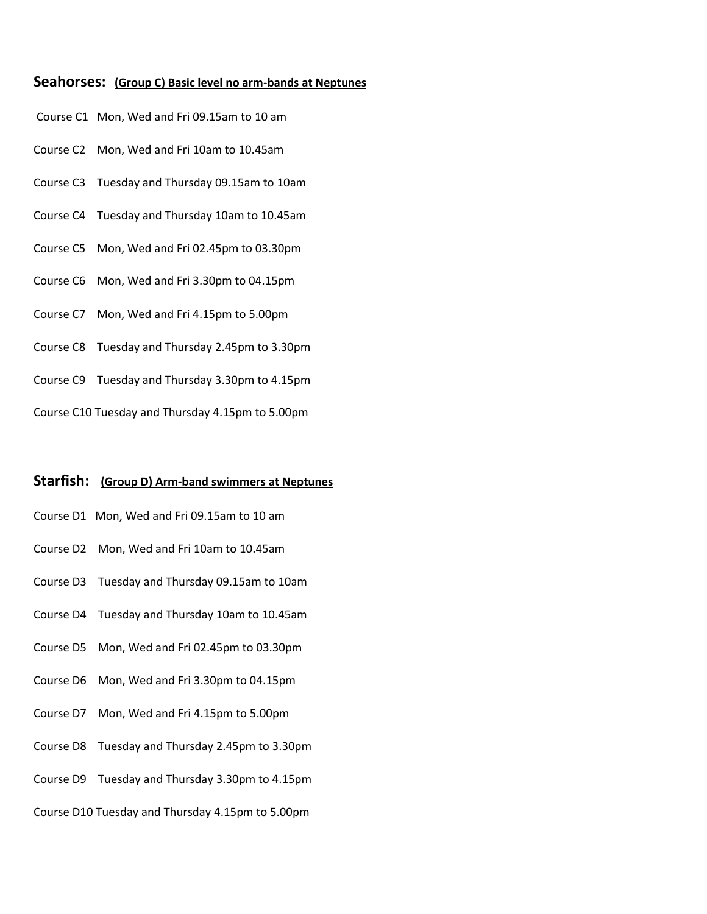# **Seahorses: (Group C) Basic level no arm-bands at Neptunes**

- Course C1 Mon, Wed and Fri 09.15am to 10 am
- Course C2 Mon, Wed and Fri 10am to 10.45am
- Course C3 Tuesday and Thursday 09.15am to 10am
- Course C4 Tuesday and Thursday 10am to 10.45am
- Course C5 Mon, Wed and Fri 02.45pm to 03.30pm
- Course C6 Mon, Wed and Fri 3.30pm to 04.15pm
- Course C7 Mon, Wed and Fri 4.15pm to 5.00pm
- Course C8 Tuesday and Thursday 2.45pm to 3.30pm
- Course C9 Tuesday and Thursday 3.30pm to 4.15pm
- Course C10 Tuesday and Thursday 4.15pm to 5.00pm

### **Starfish: (Group D) Arm-band swimmers at Neptunes**

- Course D1 Mon, Wed and Fri 09.15am to 10 am
- Course D2 Mon, Wed and Fri 10am to 10.45am
- Course D3 Tuesday and Thursday 09.15am to 10am
- Course D4 Tuesday and Thursday 10am to 10.45am
- Course D5 Mon, Wed and Fri 02.45pm to 03.30pm
- Course D6 Mon, Wed and Fri 3.30pm to 04.15pm
- Course D7 Mon, Wed and Fri 4.15pm to 5.00pm
- Course D8 Tuesday and Thursday 2.45pm to 3.30pm
- Course D9 Tuesday and Thursday 3.30pm to 4.15pm
- Course D10 Tuesday and Thursday 4.15pm to 5.00pm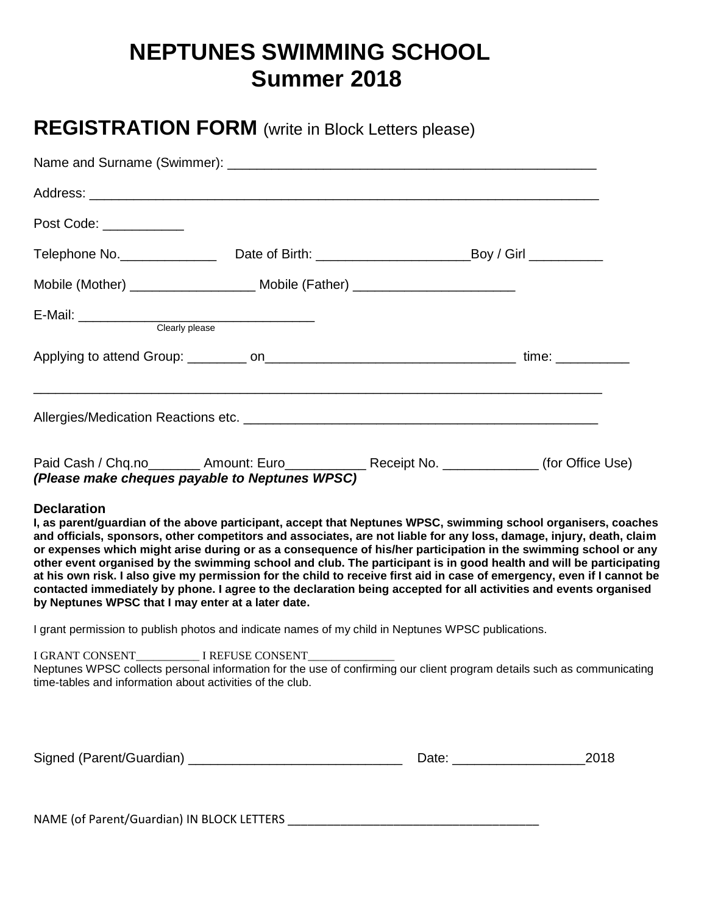# **NEPTUNES SWIMMING SCHOOL Summer 2018**

# **REGISTRATION FORM** (write in Block Letters please)

| Post Code: ___________                                                                                                                                                                                                                                                                                                                                                                                                                                                                                                                                     |  |                                                                                                                                                                                                                                               |
|------------------------------------------------------------------------------------------------------------------------------------------------------------------------------------------------------------------------------------------------------------------------------------------------------------------------------------------------------------------------------------------------------------------------------------------------------------------------------------------------------------------------------------------------------------|--|-----------------------------------------------------------------------------------------------------------------------------------------------------------------------------------------------------------------------------------------------|
| Telephone No. _______________                                                                                                                                                                                                                                                                                                                                                                                                                                                                                                                              |  |                                                                                                                                                                                                                                               |
|                                                                                                                                                                                                                                                                                                                                                                                                                                                                                                                                                            |  |                                                                                                                                                                                                                                               |
| E-Mail: Clearly please                                                                                                                                                                                                                                                                                                                                                                                                                                                                                                                                     |  |                                                                                                                                                                                                                                               |
|                                                                                                                                                                                                                                                                                                                                                                                                                                                                                                                                                            |  |                                                                                                                                                                                                                                               |
|                                                                                                                                                                                                                                                                                                                                                                                                                                                                                                                                                            |  |                                                                                                                                                                                                                                               |
| Paid Cash / Chq.no________ Amount: Euro_______________ Receipt No. ______________ (for Office Use)<br>(Please make cheques payable to Neptunes WPSC)                                                                                                                                                                                                                                                                                                                                                                                                       |  |                                                                                                                                                                                                                                               |
| <b>Declaration</b><br>I, as parent/guardian of the above participant, accept that Neptunes WPSC, swimming school organisers, coaches<br>and officials, sponsors, other competitors and associates, are not liable for any loss, damage, injury, death, claim<br>or expenses which might arise during or as a consequence of his/her participation in the swimming school or any<br>contacted immediately by phone. I agree to the declaration being accepted for all activities and events organised<br>by Neptunes WPSC that I may enter at a later date. |  | other event organised by the swimming school and club. The participant is in good health and will be participating<br>at his own risk. I also give my permission for the child to receive first aid in case of emergency, even if I cannot be |
| I grant permission to publish photos and indicate names of my child in Neptunes WPSC publications.                                                                                                                                                                                                                                                                                                                                                                                                                                                         |  |                                                                                                                                                                                                                                               |
| I GRANT CONSENT I REFUSE CONSENT<br>Neptunes WPSC collects personal information for the use of confirming our client program details such as communicating<br>time-tables and information about activities of the club.                                                                                                                                                                                                                                                                                                                                    |  |                                                                                                                                                                                                                                               |

| Signed (Parent/Guardian) | Date |  |
|--------------------------|------|--|
|--------------------------|------|--|

NAME (of Parent/Guardian) IN BLOCK LETTERS \_\_\_\_\_\_\_\_\_\_\_\_\_\_\_\_\_\_\_\_\_\_\_\_\_\_\_\_\_\_\_\_\_\_\_\_\_\_